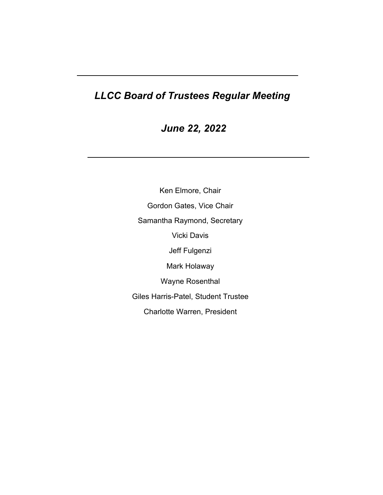# *LLCC Board of Trustees Regular Meeting*

*June 22, 2022* 

Ken Elmore, Chair Gordon Gates, Vice Chair Samantha Raymond, Secretary Vicki Davis Jeff Fulgenzi Mark Holaway Wayne Rosenthal Giles Harris-Patel, Student Trustee Charlotte Warren, President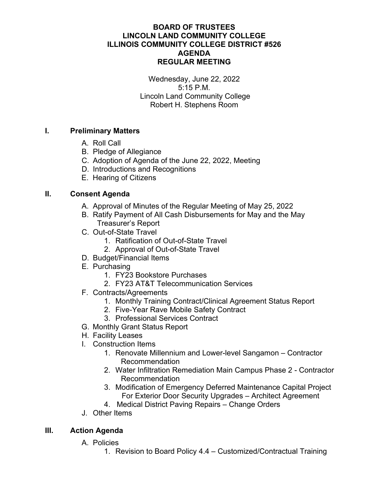# **BOARD OF TRUSTEES LINCOLN LAND COMMUNITY COLLEGE ILLINOIS COMMUNITY COLLEGE DISTRICT #526 AGENDA REGULAR MEETING**

Wednesday, June 22, 2022 5:15 P.M. Lincoln Land Community College Robert H. Stephens Room

# **I. Preliminary Matters**

- A. Roll Call
- B. Pledge of Allegiance
- C. Adoption of Agenda of the June 22, 2022, Meeting
- D. Introductions and Recognitions
- E. Hearing of Citizens

# **II. Consent Agenda**

- A. Approval of Minutes of the Regular Meeting of May 25, 2022
- B. Ratify Payment of All Cash Disbursements for May and the May Treasurer's Report
- C. Out-of-State Travel
	- 1. Ratification of Out-of-State Travel
	- 2. Approval of Out-of-State Travel
- D. Budget/Financial Items
- E. Purchasing
	- 1. FY23 Bookstore Purchases
	- 2. FY23 AT&T Telecommunication Services
- F. Contracts/Agreements
	- 1. Monthly Training Contract/Clinical Agreement Status Report
	- 2. Five-Year Rave Mobile Safety Contract
	- 3. Professional Services Contract
- G. Monthly Grant Status Report
- H. Facility Leases
- I. Construction Items
	- 1. Renovate Millennium and Lower-level Sangamon Contractor Recommendation
	- 2. Water Infiltration Remediation Main Campus Phase 2 Contractor Recommendation
	- 3. Modification of Emergency Deferred Maintenance Capital Project For Exterior Door Security Upgrades – Architect Agreement
	- 4. Medical District Paving Repairs Change Orders
- J. Other Items

# **III. Action Agenda**

- A. Policies
	- 1. Revision to Board Policy 4.4 Customized/Contractual Training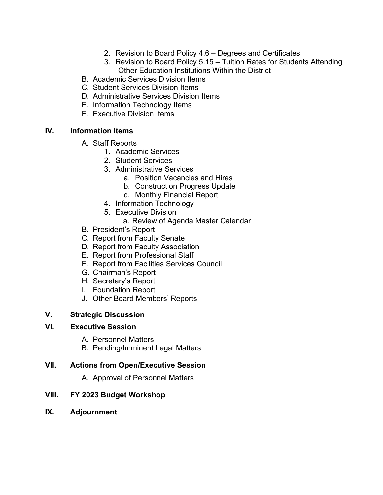- 2. Revision to Board Policy 4.6 Degrees and Certificates
- 3. Revision to Board Policy 5.15 Tuition Rates for Students Attending Other Education Institutions Within the District
- B. Academic Services Division Items
- C. Student Services Division Items
- D. Administrative Services Division Items
- E. Information Technology Items
- F. Executive Division Items

# **IV. Information Items**

- A. Staff Reports
	- 1. Academic Services
	- 2. Student Services
	- 3. Administrative Services
		- a. Position Vacancies and Hires
		- b. Construction Progress Update
		- c. Monthly Financial Report
	- 4. Information Technology
	- 5. Executive Division
		- a. Review of Agenda Master Calendar
- B. President's Report
- C. Report from Faculty Senate
- D. Report from Faculty Association
- E. Report from Professional Staff
- F. Report from Facilities Services Council
- G. Chairman's Report
- H. Secretary's Report
- I. Foundation Report
- J. Other Board Members' Reports

# **V. Strategic Discussion**

# **VI. Executive Session**

- A. Personnel Matters
- B. Pending/Imminent Legal Matters

# **VII. Actions from Open/Executive Session**

A. Approval of Personnel Matters

# **VIII. FY 2023 Budget Workshop**

**IX. Adjournment**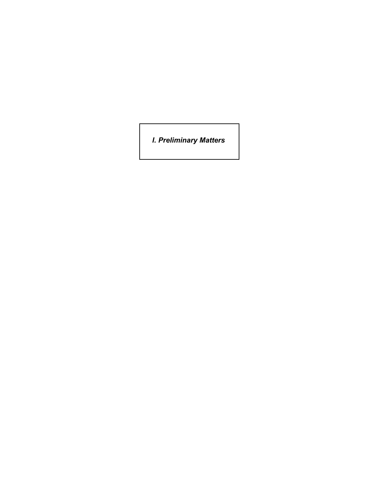*I. Preliminary Matters*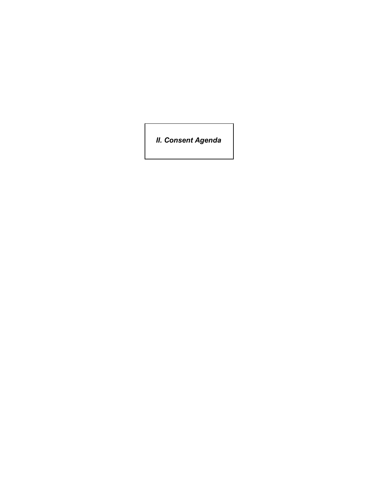*II. Consent Agenda*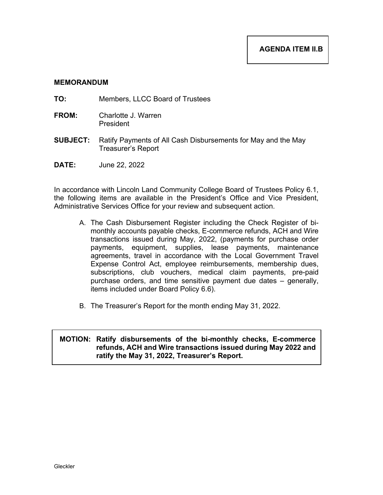- **TO:** Members, LLCC Board of Trustees
- **FROM:** Charlotte J. Warren President
- **SUBJECT:** Ratify Payments of All Cash Disbursements for May and the May Treasurer's Report
- **DATE:** June 22, 2022

In accordance with Lincoln Land Community College Board of Trustees Policy 6.1, the following items are available in the President's Office and Vice President, Administrative Services Office for your review and subsequent action.

- A. The Cash Disbursement Register including the Check Register of bimonthly accounts payable checks, E-commerce refunds, ACH and Wire transactions issued during May, 2022, (payments for purchase order payments, equipment, supplies, lease payments, maintenance agreements, travel in accordance with the Local Government Travel Expense Control Act, employee reimbursements, membership dues, subscriptions, club vouchers, medical claim payments, pre-paid purchase orders, and time sensitive payment due dates – generally, items included under Board Policy 6.6).
- B. The Treasurer's Report for the month ending May 31, 2022.

### **MOTION: Ratify disbursements of the bi-monthly checks, E-commerce refunds, ACH and Wire transactions issued during May 2022 and ratify the May 31, 2022, Treasurer's Report.**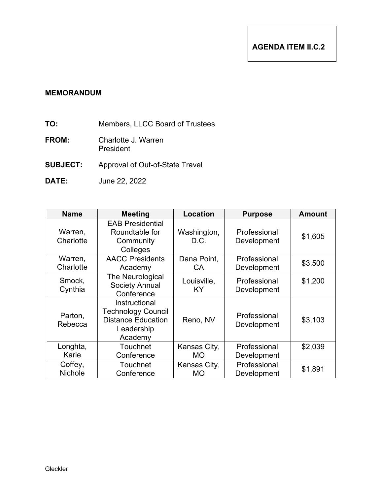- **TO:** Members, LLCC Board of Trustees
- **FROM:** Charlotte J. Warren President
- **SUBJECT:** Approval of Out-of-State Travel
- **DATE:** June 22, 2022

| <b>Name</b>               | <b>Meeting</b>                                                                                   | Location                  | <b>Purpose</b>              | <b>Amount</b> |
|---------------------------|--------------------------------------------------------------------------------------------------|---------------------------|-----------------------------|---------------|
| Warren,<br>Charlotte      | <b>EAB Presidential</b><br>Roundtable for<br>Community<br>Colleges                               | Washington,<br>D.C.       | Professional<br>Development | \$1,605       |
| Warren,<br>Charlotte      | <b>AACC Presidents</b><br>Academy                                                                | Dana Point,<br>CA.        | Professional<br>Development | \$3,500       |
| Smock,<br>Cynthia         | The Neurological<br><b>Society Annual</b><br>Conference                                          | Louisville,<br><b>KY</b>  | Professional<br>Development | \$1,200       |
| Parton,<br>Rebecca        | Instructional<br><b>Technology Council</b><br><b>Distance Education</b><br>Leadership<br>Academy | Reno, NV                  | Professional<br>Development | \$3,103       |
| Longhta,<br>Karie         | Touchnet<br>Conference                                                                           | Kansas City,<br><b>MO</b> | Professional<br>Development | \$2,039       |
| Coffey,<br><b>Nichole</b> | <b>Touchnet</b><br>Conference                                                                    | Kansas City,<br>MO        | Professional<br>Development | \$1,891       |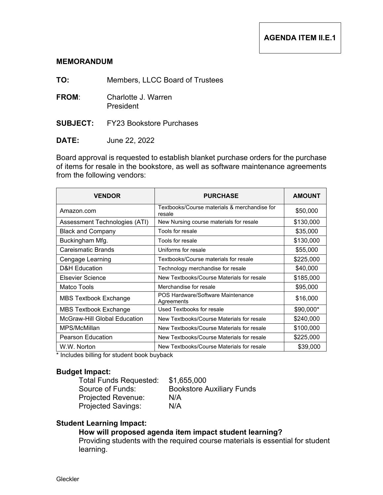**TO:** Members, LLCC Board of Trustees

- **FROM**: Charlotte J. Warren President
- **SUBJECT:** FY23 Bookstore Purchases
- **DATE:** June 22, 2022

Board approval is requested to establish blanket purchase orders for the purchase of items for resale in the bookstore, as well as software maintenance agreements from the following vendors:

| <b>VENDOR</b>                 | <b>PURCHASE</b>                                        | <b>AMOUNT</b> |
|-------------------------------|--------------------------------------------------------|---------------|
| Amazon.com                    | Textbooks/Course materials & merchandise for<br>resale | \$50,000      |
| Assessment Technologies (ATI) | New Nursing course materials for resale                | \$130,000     |
| <b>Black and Company</b>      | Tools for resale                                       | \$35,000      |
| Buckingham Mfg.               | Tools for resale                                       | \$130,000     |
| Careismatic Brands            | Uniforms for resale                                    | \$55,000      |
| Cengage Learning              | Textbooks/Course materials for resale                  | \$225,000     |
| <b>D&amp;H</b> Education      | Technology merchandise for resale                      | \$40,000      |
| Elsevier Science              | New Textbooks/Course Materials for resale              | \$185,000     |
| Matco Tools                   | Merchandise for resale                                 | \$95,000      |
| <b>MBS Textbook Exchange</b>  | POS Hardware/Software Maintenance<br>Agreements        | \$16,000      |
| MBS Textbook Exchange         | Used Textbooks for resale                              | $$90,000*$    |
| McGraw-Hill Global Education  | New Textbooks/Course Materials for resale              | \$240,000     |
| MPS/McMillan                  | New Textbooks/Course Materials for resale              | \$100,000     |
| <b>Pearson Education</b>      | New Textbooks/Course Materials for resale              | \$225,000     |
| W.W. Norton                   | New Textbooks/Course Materials for resale              | \$39,000      |

\* Includes billing for student book buyback

### **Budget Impact:**

Total Funds Requested: \$1,655,000<br>Source of Funds: Bookstore A Projected Revenue: N/A Projected Savings: N/A

Bookstore Auxiliary Funds

### **Student Learning Impact:**

# **How will proposed agenda item impact student learning?**

Providing students with the required course materials is essential for student learning.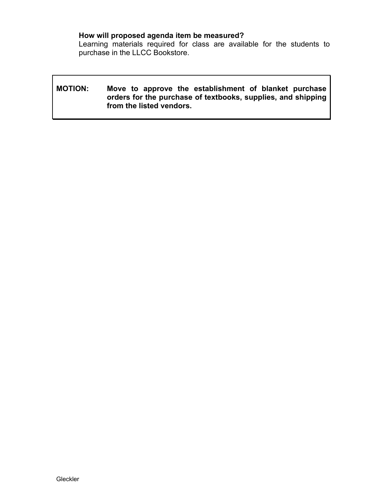# **How will proposed agenda item be measured?**

Learning materials required for class are available for the students to purchase in the LLCC Bookstore.

# **MOTION: Move to approve the establishment of blanket purchase orders for the purchase of textbooks, supplies, and shipping from the listed vendors.**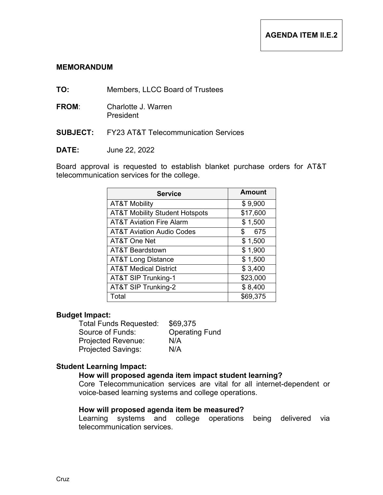- **TO:** Members, LLCC Board of Trustees
- **FROM**: Charlotte J. Warren President
- **SUBJECT:** FY23 AT&T Telecommunication Services
- **DATE:** June 22, 2022

Board approval is requested to establish blanket purchase orders for AT&T telecommunication services for the college.

| <b>Service</b>                            | <b>Amount</b> |
|-------------------------------------------|---------------|
| <b>AT&amp;T Mobility</b>                  | \$9,900       |
| <b>AT&amp;T Mobility Student Hotspots</b> | \$17,600      |
| <b>AT&amp;T Aviation Fire Alarm</b>       | \$1,500       |
| <b>AT&amp;T Aviation Audio Codes</b>      | 675<br>\$     |
| AT&T One Net                              | \$1,500       |
| <b>AT&amp;T Beardstown</b>                | \$1,900       |
| <b>AT&amp;T Long Distance</b>             | \$1,500       |
| <b>AT&amp;T Medical District</b>          | \$3,400       |
| AT&T SIP Trunking-1                       | \$23,000      |
| AT&T SIP Trunking-2                       | \$8,400       |
| Total                                     | \$69,375      |

### **Budget Impact:**

Total Funds Requested: \$69,375 Source of Funds: Operating Fund Projected Revenue: N/A Projected Savings: N/A

### **Student Learning Impact:**

# **How will proposed agenda item impact student learning?**

Core Telecommunication services are vital for all internet-dependent or voice-based learning systems and college operations.

### **How will proposed agenda item be measured?**

Learning systems and college operations being delivered via telecommunication services.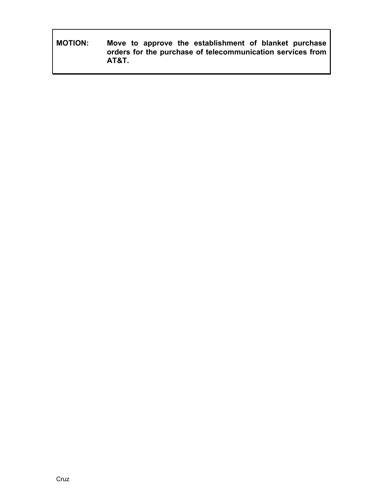**MOTION: Move to approve the establishment of blanket purchase orders for the purchase of telecommunication services from AT&T.**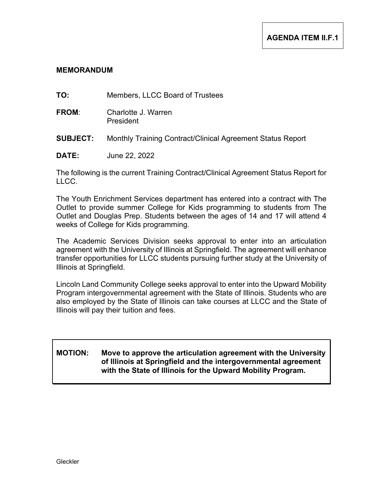**TO:** Members, LLCC Board of Trustees

- **FROM**: Charlotte J. Warren President
- **SUBJECT:** Monthly Training Contract/Clinical Agreement Status Report
- **DATE:** June 22, 2022

The following is the current Training Contract/Clinical Agreement Status Report for LLCC.

The Youth Enrichment Services department has entered into a contract with The Outlet to provide summer College for Kids programming to students from The Outlet and Douglas Prep. Students between the ages of 14 and 17 will attend 4 weeks of College for Kids programming.

The Academic Services Division seeks approval to enter into an articulation agreement with the University of Illinois at Springfield. The agreement will enhance transfer opportunities for LLCC students pursuing further study at the University of Illinois at Springfield.

Lincoln Land Community College seeks approval to enter into the Upward Mobility Program intergovernmental agreement with the State of Illinois. Students who are also employed by the State of Illinois can take courses at LLCC and the State of Illinois will pay their tuition and fees.

# **MOTION: Move to approve the articulation agreement with the University of Illinois at Springfield and the intergovernmental agreement with the State of Illinois for the Upward Mobility Program.**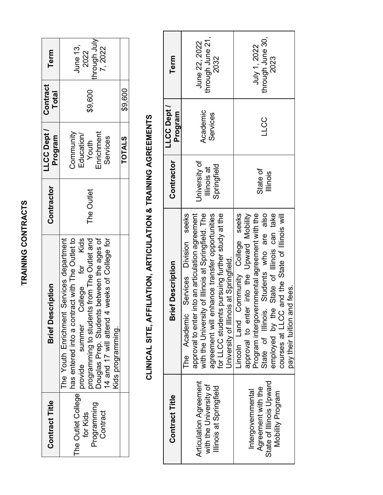| r<br>ı                      |
|-----------------------------|
| ļ.<br>ī<br>ţ                |
|                             |
|                             |
|                             |
|                             |
|                             |
|                             |
| í                           |
|                             |
|                             |
|                             |
|                             |
|                             |
|                             |
|                             |
|                             |
|                             |
|                             |
| I<br><b>Service Service</b> |
|                             |

| <b>Contract Title</b>                                     | <b>Brief Description</b>                                                                                                                                                                                                                                                                           | Contractor | LLCC Dept /<br>Program                                     | Contract<br><b>Total</b> | Term                                              |
|-----------------------------------------------------------|----------------------------------------------------------------------------------------------------------------------------------------------------------------------------------------------------------------------------------------------------------------------------------------------------|------------|------------------------------------------------------------|--------------------------|---------------------------------------------------|
| The Outlet College<br>Programming<br>Contract<br>for Kids | Douglas Prep. Students between the ages of<br>14 and 17 will attend 4 weeks of College for<br>has entered into a contract with The Outlet to<br>College for Kids<br>programming to students from The Outlet and<br>The Youth Enrichment Services department<br>provide summer<br>Kids programming. | The Outlet | Enrichment<br>Community<br>Education/<br>Services<br>Youth | \$9,600                  | through July<br><b>June 13,</b><br>7,2022<br>2022 |
|                                                           |                                                                                                                                                                                                                                                                                                    |            | <b>TOTALS</b>                                              | \$9,600                  |                                                   |

# **CLINICAL SITE, AFFILIATION, ARTICULATION & TRAINING AGREEMENTS CLINICAL SITE, AFFILIATION, ARTICULATION & TRAINING AGREEMENTS**

| <b>Contract Title</b>                                                                   | <b>Brief Description</b>                                                                                                                                                                                                                                                                                               | Contractor                                  | LLCC Dept /<br>Program | Term                                      |
|-----------------------------------------------------------------------------------------|------------------------------------------------------------------------------------------------------------------------------------------------------------------------------------------------------------------------------------------------------------------------------------------------------------------------|---------------------------------------------|------------------------|-------------------------------------------|
| <b>Articulation Agreement</b><br>with the University of<br>Illinois at Springfield      | Services Division seeks<br>with the University of Illinois at Springfield. The<br>agreement will enhance transfer opportunities<br>for LLCC students pursuing further study at the<br>nto an articulation agreement<br>University of Illinois at Springfield.<br>approval to enter in<br>The Academic                  | University of<br>Springfield<br>Illinois at | Academic<br>Services   | through June 21,<br>June 22, 2022<br>2032 |
| State of Illinois Upward<br>Agreement with the<br>Intergovernmental<br>Mobility Program | Lincoln Land Community College seeks<br>approval to enter into the Upward Mobility<br>Students who are also<br>State of Illinois can take<br>Program intergovernmental agreement with the<br>and the State of Illinois will<br>pay their tuition and fees.<br>State of Illinois.<br>employed by the<br>courses at LLCC | State of<br>llinois                         | <b>CCC</b>             | through June 30,<br>July 1, 2022<br>2023  |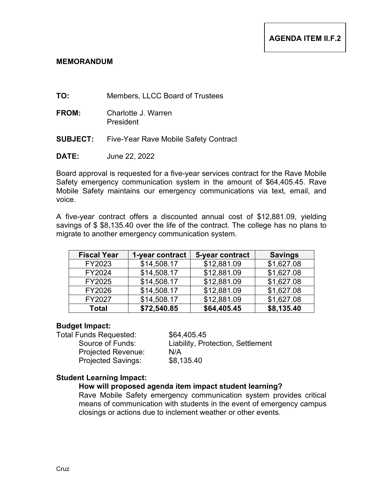- **TO:** Members, LLCC Board of Trustees
- **FROM:** Charlotte J. Warren President
- **SUBJECT:** Five-Year Rave Mobile Safety Contract
- **DATE:** June 22, 2022

Board approval is requested for a five-year services contract for the Rave Mobile Safety emergency communication system in the amount of \$64,405.45. Rave Mobile Safety maintains our emergency communications via text, email, and voice.

A five-year contract offers a discounted annual cost of \$12,881.09, yielding savings of \$ \$8,135.40 over the life of the contract. The college has no plans to migrate to another emergency communication system.

| <b>Fiscal Year</b> | 1-year contract | 5-year contract | <b>Savings</b> |
|--------------------|-----------------|-----------------|----------------|
| FY2023             | \$14,508.17     | \$12,881.09     | \$1,627.08     |
| FY2024             | \$14,508.17     | \$12,881.09     | \$1,627.08     |
| FY2025             | \$14,508.17     | \$12,881.09     | \$1,627.08     |
| FY2026             | \$14,508.17     | \$12,881.09     | \$1,627.08     |
| FY2027             | \$14,508.17     | \$12,881.09     | \$1,627.08     |
| <b>Total</b>       | \$72,540.85     | \$64,405.45     | \$8,135.40     |

### **Budget Impact:**

Total Funds Requested: \$64,405.45<br>Source of Funds: Liability. Pro Projected Revenue: N/A

Liability, Protection, Settlement Projected Savings: \$8,135.40

### **Student Learning Impact:**

# **How will proposed agenda item impact student learning?**

Rave Mobile Safety emergency communication system provides critical means of communication with students in the event of emergency campus closings or actions due to inclement weather or other events.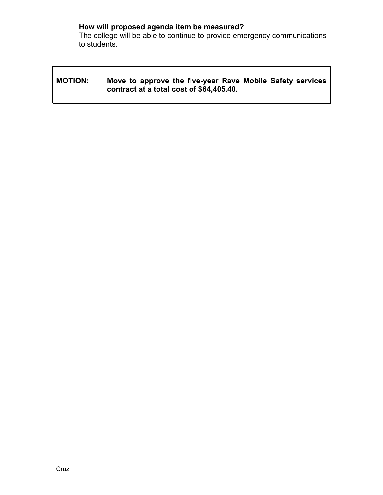# **How will proposed agenda item be measured?**

The college will be able to continue to provide emergency communications to students.

# **MOTION: Move to approve the five-year Rave Mobile Safety services contract at a total cost of \$64,405.40.**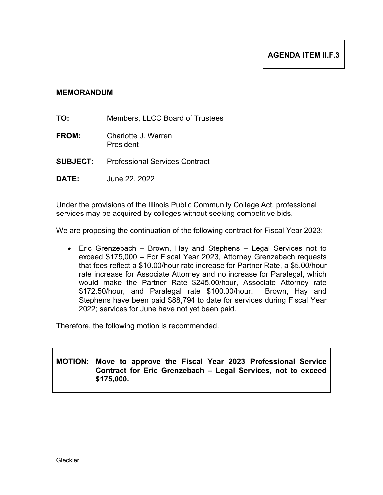- **TO:** Members, LLCC Board of Trustees
- **FROM:** Charlotte J. Warren President
- **SUBJECT:** Professional Services Contract
- **DATE:** June 22, 2022

Under the provisions of the Illinois Public Community College Act, professional services may be acquired by colleges without seeking competitive bids.

We are proposing the continuation of the following contract for Fiscal Year 2023:

• Eric Grenzebach – Brown, Hay and Stephens – Legal Services not to exceed \$175,000 – For Fiscal Year 2023, Attorney Grenzebach requests that fees reflect a \$10.00/hour rate increase for Partner Rate, a \$5.00/hour rate increase for Associate Attorney and no increase for Paralegal, which would make the Partner Rate \$245.00/hour, Associate Attorney rate \$172.50/hour, and Paralegal rate \$100.00/hour. Brown, Hay and Stephens have been paid \$88,794 to date for services during Fiscal Year 2022; services for June have not yet been paid.

Therefore, the following motion is recommended.

**MOTION: Move to approve the Fiscal Year 2023 Professional Service Contract for Eric Grenzebach – Legal Services, not to exceed \$175,000.**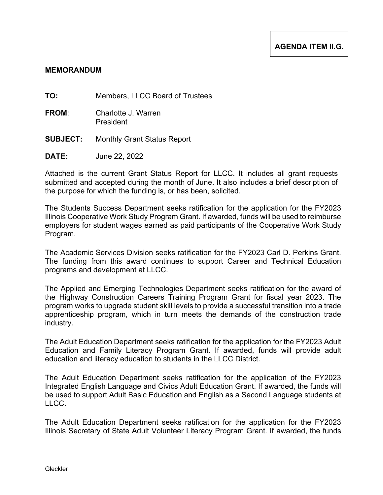**TO:** Members, LLCC Board of Trustees

- **FROM**: Charlotte J. Warren President
- **SUBJECT:** Monthly Grant Status Report
- **DATE:** June 22, 2022

Attached is the current Grant Status Report for LLCC. It includes all grant requests submitted and accepted during the month of June. It also includes a brief description of the purpose for which the funding is, or has been, solicited.

The Students Success Department seeks ratification for the application for the FY2023 Illinois Cooperative Work Study Program Grant. If awarded, funds will be used to reimburse employers for student wages earned as paid participants of the Cooperative Work Study Program.

The Academic Services Division seeks ratification for the FY2023 Carl D. Perkins Grant. The funding from this award continues to support Career and Technical Education programs and development at LLCC.

The Applied and Emerging Technologies Department seeks ratification for the award of the Highway Construction Careers Training Program Grant for fiscal year 2023. The program works to upgrade student skill levels to provide a successful transition into a trade apprenticeship program, which in turn meets the demands of the construction trade industry.

The Adult Education Department seeks ratification for the application for the FY2023 Adult Education and Family Literacy Program Grant. If awarded, funds will provide adult education and literacy education to students in the LLCC District.

The Adult Education Department seeks ratification for the application of the FY2023 Integrated English Language and Civics Adult Education Grant. If awarded, the funds will be used to support Adult Basic Education and English as a Second Language students at LLCC.

The Adult Education Department seeks ratification for the application for the FY2023 Illinois Secretary of State Adult Volunteer Literacy Program Grant. If awarded, the funds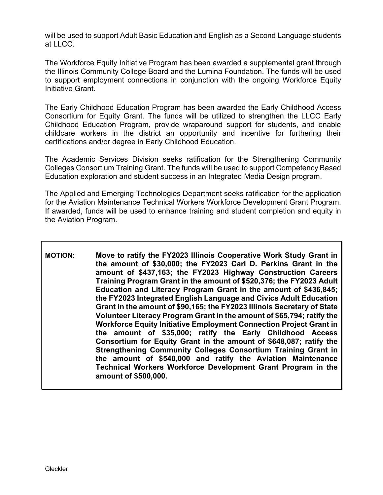will be used to support Adult Basic Education and English as a Second Language students at LLCC.

The Workforce Equity Initiative Program has been awarded a supplemental grant through the Illinois Community College Board and the Lumina Foundation. The funds will be used to support employment connections in conjunction with the ongoing Workforce Equity Initiative Grant.

The Early Childhood Education Program has been awarded the Early Childhood Access Consortium for Equity Grant. The funds will be utilized to strengthen the LLCC Early Childhood Education Program, provide wraparound support for students, and enable childcare workers in the district an opportunity and incentive for furthering their certifications and/or degree in Early Childhood Education.

The Academic Services Division seeks ratification for the Strengthening Community Colleges Consortium Training Grant. The funds will be used to support Competency Based Education exploration and student success in an Integrated Media Design program.

The Applied and Emerging Technologies Department seeks ratification for the application for the Aviation Maintenance Technical Workers Workforce Development Grant Program. If awarded, funds will be used to enhance training and student completion and equity in the Aviation Program.

**MOTION: Move to ratify the FY2023 Illinois Cooperative Work Study Grant in the amount of \$30,000; the FY2023 Carl D. Perkins Grant in the amount of \$437,163; the FY2023 Highway Construction Careers Training Program Grant in the amount of \$520,376; the FY2023 Adult Education and Literacy Program Grant in the amount of \$436,845; the FY2023 Integrated English Language and Civics Adult Education Grant in the amount of \$90,165; the FY2023 Illinois Secretary of State Volunteer Literacy Program Grant in the amount of \$65,794; ratify the Workforce Equity Initiative Employment Connection Project Grant in the amount of \$35,000; ratify the Early Childhood Access Consortium for Equity Grant in the amount of \$648,087; ratify the Strengthening Community Colleges Consortium Training Grant in the amount of \$540,000 and ratify the Aviation Maintenance Technical Workers Workforce Development Grant Program in the amount of \$500,000.**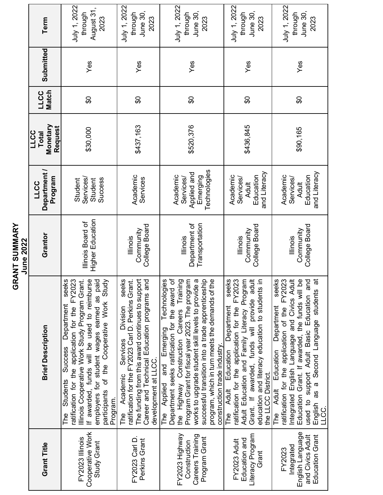|                                                                                        | ပ                                                                                                                                                                                                                                                                                                                                                                                                    | RANT SUMMARY<br>June 2022                     |                                                                    |                                                    |                             |           |                                                    |
|----------------------------------------------------------------------------------------|------------------------------------------------------------------------------------------------------------------------------------------------------------------------------------------------------------------------------------------------------------------------------------------------------------------------------------------------------------------------------------------------------|-----------------------------------------------|--------------------------------------------------------------------|----------------------------------------------------|-----------------------------|-----------|----------------------------------------------------|
| Grant Title                                                                            | <b>Brief Description</b>                                                                                                                                                                                                                                                                                                                                                                             | Grantor                                       | Department /<br>Program<br><b>LLCC</b>                             | Monetary<br>Request<br><b>LLCC</b><br><b>Total</b> | <b>Match</b><br><b>LLCC</b> | Submitted | Term                                               |
| Cooperative Work<br>FY2023 Illinois<br>Study Grant                                     | The Students Success Department seeks<br>ratification for the application for the FY2023<br>If awarded, funds will be used to reimburse<br>Illinois Cooperative Work Study Program Grant.<br>employers for student wages earned as paid<br>participants of the Cooperative Work Study<br><b>Success</b><br>Students<br>Program.<br>The                                                               | Higher Education<br>Illinois Board of         | Services/<br><b>Success</b><br>Student<br>Student                  | \$30,000                                           | \$O                         | Yes       | July 1, 2022<br>August 31,<br>through<br>2023      |
| FY2023 Carl D.<br>Perkins Grant                                                        | seeks<br>ratification for the FY2023 Carl D. Perkins Grant.<br>The funding from this award continues to support<br>Career and Technical Education programs and<br>Services Division<br>development at LLCC.<br>The Academic                                                                                                                                                                          | College Board<br>Community<br>lllinois        | Academic<br>Services                                               | \$437,163                                          | œ                           | Yes       | July 1, 2022<br>June 30,<br>through<br>2023        |
| FY2023 Highway<br>Careers Training<br>Program Grant<br>Construction                    | Technologies<br>৳<br>Program Grant for fiscal year 2023. The program<br>the Highway Construction Careers Training<br>$\omega$<br>successful transition into a trade apprenticeship<br>program, which in turn meets the demands of the<br>works to upgrade student skill levels to provide<br>Department seeks ratification for the award<br>The Applied and Emerging<br>construction trade industry. | Department of<br>Transportation<br>lllinois   | Technologies<br>Applied and<br>Academic<br>Emerging<br>Services/   | \$520,376                                          | œ                           | Yes       | July 1, 2022<br>June 30,<br>through<br>2023        |
| Literacy Program<br>Education and<br>FY2023 Adult<br>Grant                             | seeks<br>Adult Education and Family Literacy Program<br>ratification for the application for the FY2023<br>adult<br>크.<br>education and literacy education to students<br>Grant. If awarded, funds will provide<br>Department<br>The Adult Education<br>the LLCC District.                                                                                                                           | College Board<br>Community<br>lllinois        | and Literacy<br>Education<br>Academic<br>Services/<br><b>Adult</b> | \$436,845                                          | œ                           | Yes       | July 1, 2022<br>June 30,<br>through<br>2023        |
| English Language<br><b>Education Grant</b><br>and Civics Adult<br>Integrated<br>FY2023 | seeks<br>Integrated English Language and Civics Adult<br>Education Grant. If awarded, the funds will be<br>ratification for the application of the FY2023<br>used to support Adult Basic Education and<br>$\vec{a}$<br>English as a Second Language students<br>The Adult Education Department<br>LLCC.                                                                                              | College Board<br>Community<br><b>Illinois</b> | and Literacy<br>Education<br>Academic<br>Services/<br><b>Adult</b> | \$90,165                                           | œ                           | Yes       | July 1, 2022<br><b>June 30,</b><br>through<br>2023 |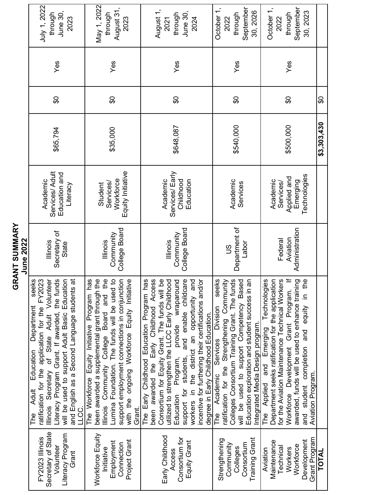|                                   | July 1, 2022<br>June 30,<br>through<br>2023                                                                                                                                                                                                                                                                          | May 1, 2022<br>August 31,<br>through<br>2023                                                                                                                                                                                                                                                        | August 1,<br>June 30,<br>through<br>2024<br>2021                                                                                                                                                                                                                                                                                                                                                                                     | September<br>October 1,<br>30, 2026<br>through<br>2022                                                                                                                                                                                                                      | October 1,<br>September<br>30, 2023<br>through<br>2022                                                                                                                                                                                                                                                                               |             |
|-----------------------------------|----------------------------------------------------------------------------------------------------------------------------------------------------------------------------------------------------------------------------------------------------------------------------------------------------------------------|-----------------------------------------------------------------------------------------------------------------------------------------------------------------------------------------------------------------------------------------------------------------------------------------------------|--------------------------------------------------------------------------------------------------------------------------------------------------------------------------------------------------------------------------------------------------------------------------------------------------------------------------------------------------------------------------------------------------------------------------------------|-----------------------------------------------------------------------------------------------------------------------------------------------------------------------------------------------------------------------------------------------------------------------------|--------------------------------------------------------------------------------------------------------------------------------------------------------------------------------------------------------------------------------------------------------------------------------------------------------------------------------------|-------------|
|                                   | Yes                                                                                                                                                                                                                                                                                                                  | Yes                                                                                                                                                                                                                                                                                                 | Yes                                                                                                                                                                                                                                                                                                                                                                                                                                  | Yes                                                                                                                                                                                                                                                                         | Yes                                                                                                                                                                                                                                                                                                                                  |             |
|                                   | \$O                                                                                                                                                                                                                                                                                                                  | \$O                                                                                                                                                                                                                                                                                                 | $\boldsymbol{\theta}$                                                                                                                                                                                                                                                                                                                                                                                                                | $\boldsymbol{\mathsf{S}}$                                                                                                                                                                                                                                                   | $\mathfrak{S}$                                                                                                                                                                                                                                                                                                                       | \$O         |
|                                   | \$65,794                                                                                                                                                                                                                                                                                                             | \$35,000                                                                                                                                                                                                                                                                                            | \$648,087                                                                                                                                                                                                                                                                                                                                                                                                                            | \$540,000                                                                                                                                                                                                                                                                   | \$500,000                                                                                                                                                                                                                                                                                                                            | \$3,303,430 |
|                                   | Services/ Adult<br>Education and<br>Academic<br>Literacy                                                                                                                                                                                                                                                             | Equity Initiative<br>Workforce<br>Services/<br>Student                                                                                                                                                                                                                                              | Services/Early<br>Academic<br>Childhood<br>Education                                                                                                                                                                                                                                                                                                                                                                                 | Academic<br>Services                                                                                                                                                                                                                                                        | Technologies<br>Applied and<br>Academic<br>Emerging<br>Services/                                                                                                                                                                                                                                                                     |             |
| <b>GRANT SUMMARY</b><br>June 2022 | Secretary of<br>lllinois<br>State                                                                                                                                                                                                                                                                                    | College Board<br>Community<br>lllinois                                                                                                                                                                                                                                                              | College Board<br>Community<br>lllinois                                                                                                                                                                                                                                                                                                                                                                                               | Department of<br>Labor<br>$\frac{8}{10}$                                                                                                                                                                                                                                    | Administration<br>Aviation<br>Federal                                                                                                                                                                                                                                                                                                |             |
|                                   | Illinois Secretary of State Adult Volunteer<br>Literacy Program Grant. If awarded, the funds<br>ratification for the application for the FY2023<br>will be used to support Adult Basic Education<br>and English as a Second Language students at<br>seeks<br>Department<br>Education<br><b>Adult</b><br>LLCC.<br>The | been awarded a supplemental grant through the<br>Illinois Community College Board and the<br>The Workforce Equity Initiative Program has<br>Lumina Foundation. The funds will be used to<br>support employment connections in conjunction<br>with the ongoing Workforce Equity Initiative<br>Grant. | The Early Childhood Education Program has<br>been awarded the Early Childhood Access<br>Consortium for Equity Grant. The funds will be<br>and enable childcare<br>utilized to strengthen the LLCC Early Childhood<br>incentive for furthering their certifications and/or<br>Program, provide wraparound<br>workers in the district an opportunity and<br>degree in Early Childhood Education.<br>support for students,<br>Education | seeks<br>Colleges Consortium Training Grant. The funds<br>Education exploration and student success in an<br>ratification for the Strengthening Community<br>will be used to support Competency Based<br>The Academic Services Division<br>Integrated Media Design program. | $\equiv$<br>The Applied and Emerging Technologies<br>ဖ္ပ<br>Department seeks ratification for the application<br>awarded, funds will be used to enhance training<br>equity in the<br>for the Aviation Maintenance Technical Worker<br>Workforce Development Grant Program.<br>and student completion and<br><b>Aviation Program.</b> |             |
|                                   | Secretary of State<br>Literacy Program<br>FY2023 Illinois<br>Volunteer<br>Grant                                                                                                                                                                                                                                      | Workforce Equity<br>Project Grant<br>Employment<br>Connection<br>Initiative                                                                                                                                                                                                                         | Early Childhood<br>Consortium for<br>Equity Grant<br>Access                                                                                                                                                                                                                                                                                                                                                                          | Training Grant<br>Strengthening<br>Consortium<br>Community<br>Colleges                                                                                                                                                                                                      | Grant Program<br>Development<br>Maintenance<br>Workforce<br>Technical<br>Workers<br>Aviation                                                                                                                                                                                                                                         | TOTAL       |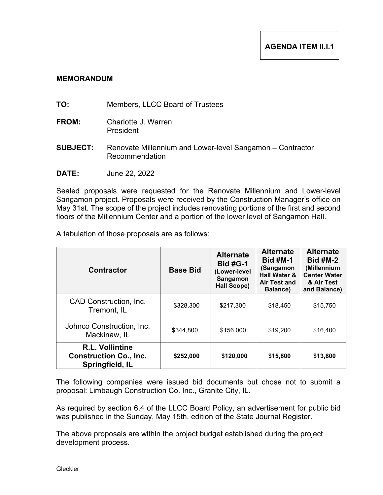- **TO:** Members, LLCC Board of Trustees
- **FROM:** Charlotte J. Warren President
- **SUBJECT:** Renovate Millennium and Lower-level Sangamon Contractor Recommendation
- **DATE:** June 22, 2022

Sealed proposals were requested for the Renovate Millennium and Lower-level Sangamon project. Proposals were received by the Construction Manager's office on May 31st. The scope of the project includes renovating portions of the first and second floors of the Millennium Center and a portion of the lower level of Sangamon Hall.

A tabulation of those proposals are as follows:

| <b>Contractor</b>                                                          | <b>Base Bid</b> | <b>Alternate</b><br><b>Bid #G-1</b><br>(Lower-level<br>Sangamon<br><b>Hall Scope)</b> | <b>Alternate</b><br><b>Bid #M-1</b><br>(Sangamon<br><b>Hall Water &amp;</b><br><b>Air Test and</b><br>Balance) | <b>Alternate</b><br><b>Bid #M-2</b><br>(Millennium<br><b>Center Water</b><br>& Air Test<br>and Balance) |
|----------------------------------------------------------------------------|-----------------|---------------------------------------------------------------------------------------|----------------------------------------------------------------------------------------------------------------|---------------------------------------------------------------------------------------------------------|
| CAD Construction, Inc.<br>Tremont, IL                                      | \$328,300       | \$217,300                                                                             | \$18,450                                                                                                       | \$15,750                                                                                                |
| Johnco Construction, Inc.<br>Mackinaw, IL                                  | \$344,800       | \$156,000                                                                             | \$19,200                                                                                                       | \$16,400                                                                                                |
| <b>R.L. Vollintine</b><br><b>Construction Co., Inc.</b><br>Springfield, IL | \$252,000       | \$120,000                                                                             | \$15,800                                                                                                       | \$13,800                                                                                                |

The following companies were issued bid documents but chose not to submit a proposal: Limbaugh Construction Co. Inc., Granite City, IL.

As required by section 6.4 of the LLCC Board Policy, an advertisement for public bid was published in the Sunday, May 15th, edition of the State Journal Register.

The above proposals are within the project budget established during the project development process.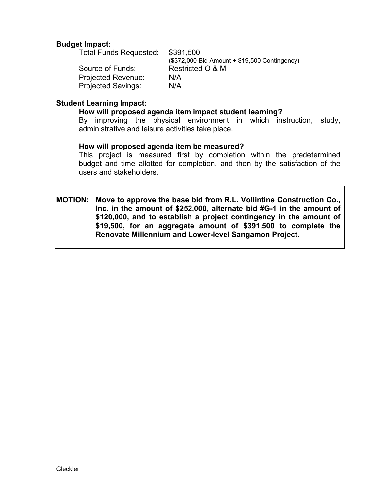# **Budget Impact:**

Total Funds Requested: \$391,500 (\$372,000 Bid Amount + \$19,500 Contingency) Source of Funds: Restricted O & M Projected Revenue: N/A Projected Savings: N/A

# **Student Learning Impact:**

### **How will proposed agenda item impact student learning?**

By improving the physical environment in which instruction, study, administrative and leisure activities take place.

### **How will proposed agenda item be measured?**

This project is measured first by completion within the predetermined budget and time allotted for completion, and then by the satisfaction of the users and stakeholders.

**MOTION: Move to approve the base bid from R.L. Vollintine Construction Co., Inc. in the amount of \$252,000, alternate bid #G-1 in the amount of \$120,000, and to establish a project contingency in the amount of \$19,500, for an aggregate amount of \$391,500 to complete the Renovate Millennium and Lower-level Sangamon Project.**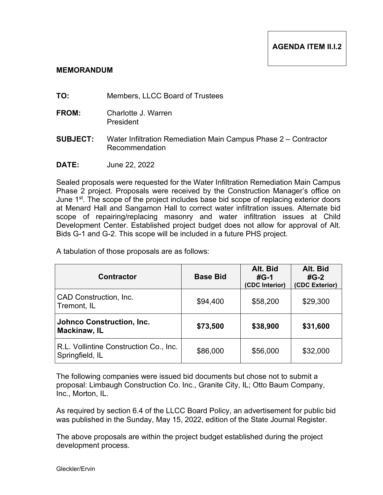- **TO:** Members, LLCC Board of Trustees
- **FROM:** Charlotte J. Warren President
- **SUBJECT:** Water Infiltration Remediation Main Campus Phase 2 Contractor Recommendation
- **DATE:** June 22, 2022

Sealed proposals were requested for the Water Infiltration Remediation Main Campus Phase 2 project. Proposals were received by the Construction Manager's office on June 1<sup>st</sup>. The scope of the project includes base bid scope of replacing exterior doors at Menard Hall and Sangamon Hall to correct water infiltration issues. Alternate bid scope of repairing/replacing masonry and water infiltration issues at Child Development Center. Established project budget does not allow for approval of Alt. Bids G-1 and G-2. This scope will be included in a future PHS project.

A tabulation of those proposals are as follows:

| <b>Contractor</b>                                         | <b>Base Bid</b> | Alt. Bid<br>$#G-1$<br>(CDC Interior) | Alt. Bid<br>$#G-2$<br>(CDC Exterior) |
|-----------------------------------------------------------|-----------------|--------------------------------------|--------------------------------------|
| CAD Construction, Inc.<br>Tremont, IL                     | \$94,400        | \$58,200                             | \$29,300                             |
| <b>Johnco Construction, Inc.</b><br><b>Mackinaw, IL</b>   | \$73,500        | \$38,900                             | \$31,600                             |
| R.L. Vollintine Construction Co., Inc.<br>Springfield, IL | \$86,000        | \$56,000                             | \$32,000                             |

The following companies were issued bid documents but chose not to submit a proposal: Limbaugh Construction Co. Inc., Granite City, IL; Otto Baum Company, Inc., Morton, IL.

As required by section 6.4 of the LLCC Board Policy, an advertisement for public bid was published in the Sunday, May 15, 2022, edition of the State Journal Register.

The above proposals are within the project budget established during the project development process.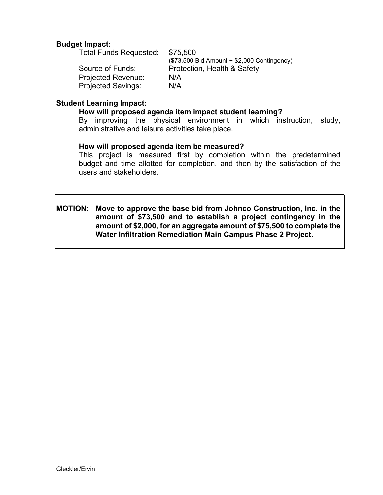# **Budget Impact:**

Total Funds Requested: \$75,500 (\$73,500 Bid Amount + \$2,000 Contingency) Source of Funds: Protection, Health & Safety Projected Revenue: N/A Projected Savings: N/A

# **Student Learning Impact:**

### **How will proposed agenda item impact student learning?**

By improving the physical environment in which instruction, study, administrative and leisure activities take place.

### **How will proposed agenda item be measured?**

This project is measured first by completion within the predetermined budget and time allotted for completion, and then by the satisfaction of the users and stakeholders.

**MOTION: Move to approve the base bid from Johnco Construction, Inc. in the amount of \$73,500 and to establish a project contingency in the amount of \$2,000, for an aggregate amount of \$75,500 to complete the Water Infiltration Remediation Main Campus Phase 2 Project.**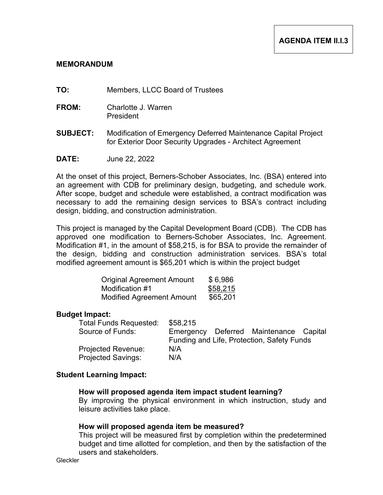- **TO:** Members, LLCC Board of Trustees
- **FROM:** Charlotte J. Warren President
- **SUBJECT:** Modification of Emergency Deferred Maintenance Capital Project for Exterior Door Security Upgrades - Architect Agreement
- **DATE:** June 22, 2022

At the onset of this project, Berners-Schober Associates, Inc. (BSA) entered into an agreement with CDB for preliminary design, budgeting, and schedule work. After scope, budget and schedule were established, a contract modification was necessary to add the remaining design services to BSA's contract including design, bidding, and construction administration.

This project is managed by the Capital Development Board (CDB). The CDB has approved one modification to Berners-Schober Associates, Inc. Agreement. Modification #1, in the amount of \$58,215, is for BSA to provide the remainder of the design, bidding and construction administration services. BSA's total modified agreement amount is \$65,201 which is within the project budget

| <b>Original Agreement Amount</b> | \$6,986  |
|----------------------------------|----------|
| Modification #1                  | \$58,215 |
| <b>Modified Agreement Amount</b> | \$65,201 |

### **Budget Impact:**

| <b>Total Funds Requested:</b> | \$58,215                                   |  |                                        |  |
|-------------------------------|--------------------------------------------|--|----------------------------------------|--|
| Source of Funds:              |                                            |  | Emergency Deferred Maintenance Capital |  |
|                               | Funding and Life, Protection, Safety Funds |  |                                        |  |
| <b>Projected Revenue:</b>     | N/A                                        |  |                                        |  |
| <b>Projected Savings:</b>     | N/A                                        |  |                                        |  |

### **Student Learning Impact:**

### **How will proposed agenda item impact student learning?**

By improving the physical environment in which instruction, study and leisure activities take place.

### **How will proposed agenda item be measured?**

This project will be measured first by completion within the predetermined budget and time allotted for completion, and then by the satisfaction of the users and stakeholders.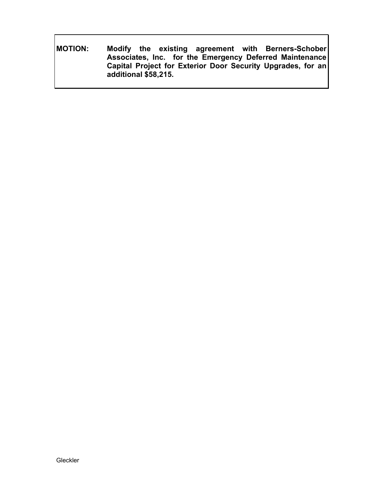**MOTION: Modify the existing agreement with Berners-Schober Associates, Inc. for the Emergency Deferred Maintenance Capital Project for Exterior Door Security Upgrades, for an additional \$58,215.**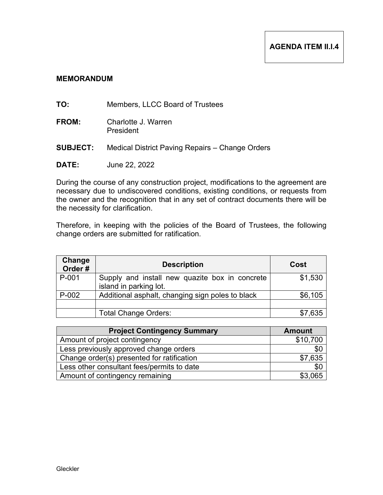- **TO:** Members, LLCC Board of Trustees
- **FROM:** Charlotte J. Warren President
- **SUBJECT:** Medical District Paving Repairs Change Orders
- **DATE:** June 22, 2022

During the course of any construction project, modifications to the agreement are necessary due to undiscovered conditions, existing conditions, or requests from the owner and the recognition that in any set of contract documents there will be the necessity for clarification.

Therefore, in keeping with the policies of the Board of Trustees, the following change orders are submitted for ratification.

| Change<br>Order# | <b>Description</b>                                                       | Cost    |
|------------------|--------------------------------------------------------------------------|---------|
| P-001            | Supply and install new quazite box in concrete<br>island in parking lot. | \$1,530 |
| $P-002$          | Additional asphalt, changing sign poles to black                         | \$6,105 |
|                  | <b>Total Change Orders:</b>                                              | \$7,635 |

| <b>Project Contingency Summary</b>         | <b>Amount</b> |
|--------------------------------------------|---------------|
| Amount of project contingency              | \$10,700      |
| Less previously approved change orders     | \$0           |
| Change order(s) presented for ratification | \$7,635       |
| Less other consultant fees/permits to date | \$0           |
| Amount of contingency remaining            | \$3,065       |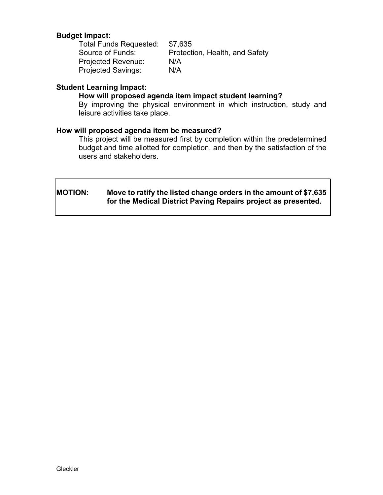# **Budget Impact:**

Total Funds Requested: \$7,635<br>Source of Funds: Protecti Protection, Health, and Safety Projected Revenue: N/A Projected Savings: N/A

# **Student Learning Impact:**

### **How will proposed agenda item impact student learning?**

By improving the physical environment in which instruction, study and leisure activities take place.

### **How will proposed agenda item be measured?**

This project will be measured first by completion within the predetermined budget and time allotted for completion, and then by the satisfaction of the users and stakeholders.

# **MOTION: Move to ratify the listed change orders in the amount of \$7,635 for the Medical District Paving Repairs project as presented.**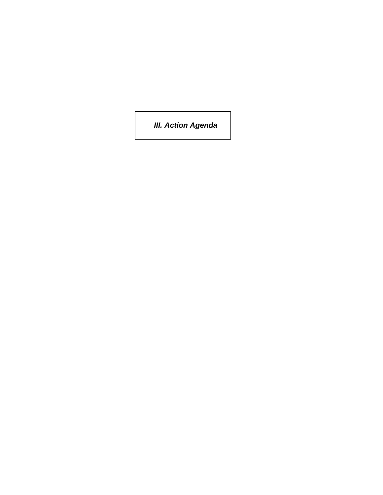*III. Action Agenda*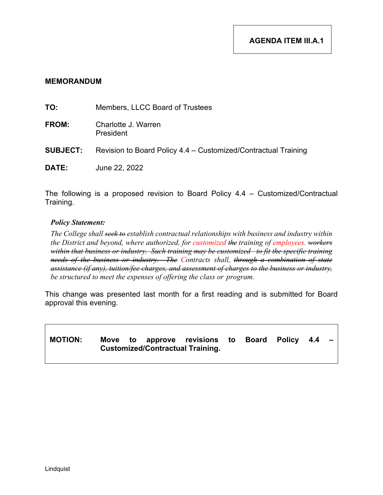| TO:             | Members, LLCC Board of Trustees                                |
|-----------------|----------------------------------------------------------------|
| <b>FROM:</b>    | Charlotte J. Warren<br>President                               |
| <b>SUBJECT:</b> | Revision to Board Policy 4.4 – Customized/Contractual Training |
| <b>DATE:</b>    | June 22, 2022                                                  |

The following is a proposed revision to Board Policy 4.4 – Customized/Contractual Training.

### *Policy Statement:*

*The College shall seek to establish contractual relationships with business and industry within the District and beyond, where authorized, for customized the training of employees. workers within that business or industry. Such training may be customized to fit the specific training needs of the business or industry. The Contracts shall, through a combination of state assistance (if any), tuition/fee charges, and assessment of charges to the business or industry, be structured to meet the expenses of offering the class or program.* 

This change was presented last month for a first reading and is submitted for Board approval this evening.

# MOTION: Move to approve revisions to Board Policy 4.4 **Customized/Contractual Training.**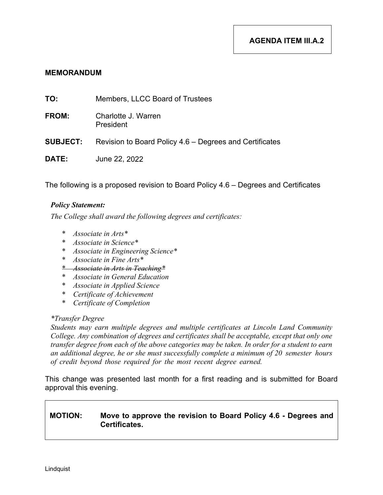| TO:             | Members, LLCC Board of Trustees                         |
|-----------------|---------------------------------------------------------|
| <b>FROM:</b>    | Charlotte J. Warren<br>President                        |
| <b>SUBJECT:</b> | Revision to Board Policy 4.6 – Degrees and Certificates |
| <b>DATE:</b>    | June 22, 2022                                           |

The following is a proposed revision to Board Policy 4.6 – Degrees and Certificates

### *Policy Statement:*

*The College shall award the following degrees and certificates:* 

- \* *Associate in Arts\**
- \* *Associate in Science\**
- \* *Associate in Engineering Science\**
- \* *Associate in Fine Arts\**
- \* *Associate in Arts in Teaching\**
- \* *Associate in General Education*
- \* *Associate in Applied Science*
- \* *Certificate of Achievement*
- \* *Certificate of Completion*

### *\*Transfer Degree*

*Students may earn multiple degrees and multiple certificates at Lincoln Land Community College. Any combination of degrees and certificates shall be acceptable, except that only one transfer degree from each of the above categories may be taken. In order for a student to earn an additional degree, he or she must successfully complete a minimum of 20 semester hours of credit beyond those required for the most recent degree earned.*

This change was presented last month for a first reading and is submitted for Board approval this evening.

# **MOTION: Move to approve the revision to Board Policy 4.6 - Degrees and Certificates.**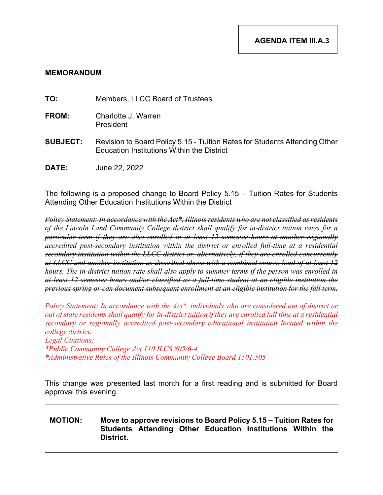**TO:** Members, LLCC Board of Trustees

- **FROM:** Charlotte J. Warren President
- **SUBJECT:** Revision to Board Policy 5.15 Tuition Rates for Students Attending Other Education Institutions Within the District
- **DATE:** June 22, 2022

The following is a proposed change to Board Policy 5.15 – Tuition Rates for Students Attending Other Education Institutions Within the District

*Policy Statement: In accordance with the Act\*, Illinois residents who are not classified as residents of the Lincoln Land Community College district shall qualify for in-district tuition rates for a particular term if they are also enrolled in at least 12 semester hours at another regionally accredited post-secondary institution within the district or enrolled full-time at a residential secondary institution within the LLCC district or, alternatively, if they are enrolled concurrently at LLCC and another institution as described above with a combined course load of at least 12 hours. The in-district tuition rate shall also apply to summer terms if the person was enrolled in at least 12 semester hours and/or classified as a full-time student at an eligible institution the previous spring or can document subsequent enrollment at an eligible institution for the fall term.* 

*Policy Statement: In accordance with the Act\*, individuals who are considered out of district or out of state residents shall qualify for in-district tuition if they are enrolled full time at a residential secondary or regionally accredited post-secondary educational institution located within the college district. Legal Citations: \*Public Community College Act 110 ILCS 805/6-4 \*Administrative Rules of the Illinois Community College Board 1501.505*

This change was presented last month for a first reading and is submitted for Board approval this evening.

# **MOTION: Move to approve revisions to Board Policy 5.15 – Tuition Rates for Students Attending Other Education Institutions Within the District.**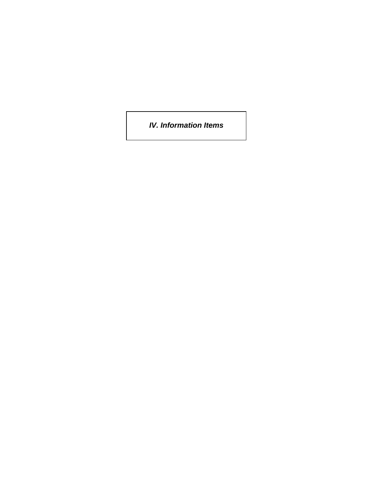*IV. Information Items*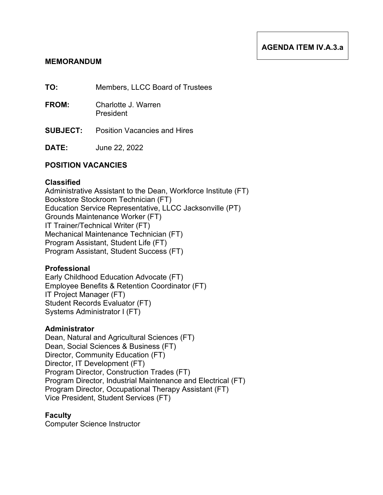# **AGENDA ITEM IV.A.3.a**

# **MEMORANDUM**

**TO:** Members, LLCC Board of Trustees

- **FROM:** Charlotte J. Warren President
- **SUBJECT:** Position Vacancies and Hires
- **DATE:** June 22, 2022

# **POSITION VACANCIES**

### **Classified**

Administrative Assistant to the Dean, Workforce Institute (FT) Bookstore Stockroom Technician (FT) Education Service Representative, LLCC Jacksonville (PT) Grounds Maintenance Worker (FT) IT Trainer/Technical Writer (FT) Mechanical Maintenance Technician (FT) Program Assistant, Student Life (FT) Program Assistant, Student Success (FT)

### **Professional**

Early Childhood Education Advocate (FT) Employee Benefits & Retention Coordinator (FT) IT Project Manager (FT) Student Records Evaluator (FT) Systems Administrator I (FT)

### **Administrator**

Dean, Natural and Agricultural Sciences (FT) Dean, Social Sciences & Business (FT) Director, Community Education (FT) Director, IT Development (FT) Program Director, Construction Trades (FT) Program Director, Industrial Maintenance and Electrical (FT) Program Director, Occupational Therapy Assistant (FT) Vice President, Student Services (FT)

### **Faculty**

Computer Science Instructor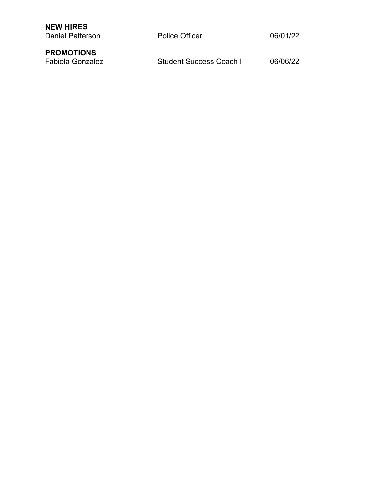| <b>NEW HIRES</b><br>Daniel Patterson         | <b>Police Officer</b>   | 06/01/22 |
|----------------------------------------------|-------------------------|----------|
| <b>PROMOTIONS</b><br><b>Fabiola Gonzalez</b> | Student Success Coach I | 06/06/22 |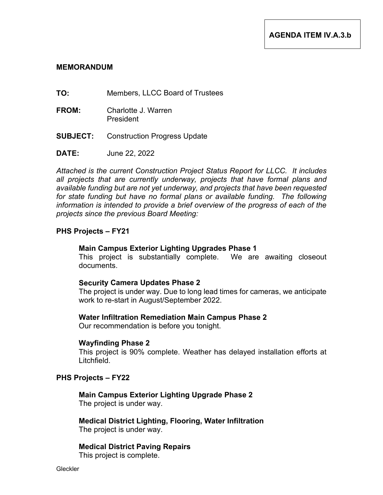- **TO:** Members, LLCC Board of Trustees
- **FROM:** Charlotte J. Warren President
- **SUBJECT:** Construction Progress Update

**DATE:** June 22, 2022

*Attached is the current Construction Project Status Report for LLCC. It includes all projects that are currently underway, projects that have formal plans and available funding but are not yet underway, and projects that have been requested*  for state funding but have no formal plans or available funding. The following *information is intended to provide a brief overview of the progress of each of the projects since the previous Board Meeting:*

### **PHS Projects – FY21**

### **Main Campus Exterior Lighting Upgrades Phase 1**

This project is substantially complete. We are awaiting closeout documents.

### **Security Camera Updates Phase 2**

The project is under way. Due to long lead times for cameras, we anticipate work to re-start in August/September 2022.

### **Water Infiltration Remediation Main Campus Phase 2**

Our recommendation is before you tonight.

### **Wayfinding Phase 2**

This project is 90% complete. Weather has delayed installation efforts at Litchfield.

### **PHS Projects – FY22**

**Main Campus Exterior Lighting Upgrade Phase 2** The project is under way.

**Medical District Lighting, Flooring, Water Infiltration** The project is under way.

**Medical District Paving Repairs**  This project is complete.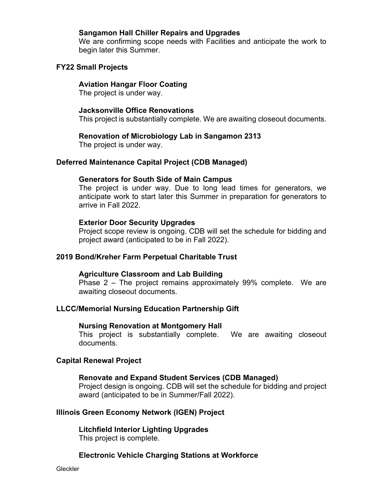# **Sangamon Hall Chiller Repairs and Upgrades**

We are confirming scope needs with Facilities and anticipate the work to begin later this Summer.

# **FY22 Small Projects**

# **Aviation Hangar Floor Coating**

The project is under way.

# **Jacksonville Office Renovations**

This project is substantially complete. We are awaiting closeout documents.

# **Renovation of Microbiology Lab in Sangamon 2313**

The project is under way.

# **Deferred Maintenance Capital Project (CDB Managed)**

# **Generators for South Side of Main Campus**

The project is under way. Due to long lead times for generators, we anticipate work to start later this Summer in preparation for generators to arrive in Fall 2022.

# **Exterior Door Security Upgrades**

Project scope review is ongoing. CDB will set the schedule for bidding and project award (anticipated to be in Fall 2022).

# **2019 Bond/Kreher Farm Perpetual Charitable Trust**

# **Agriculture Classroom and Lab Building**

Phase 2 – The project remains approximately 99% complete. We are awaiting closeout documents.

# **LLCC/Memorial Nursing Education Partnership Gift**

### **Nursing Renovation at Montgomery Hall**

This project is substantially complete. We are awaiting closeout documents.

# **Capital Renewal Project**

### **Renovate and Expand Student Services (CDB Managed)**

Project design is ongoing. CDB will set the schedule for bidding and project award (anticipated to be in Summer/Fall 2022).

# **Illinois Green Economy Network (IGEN) Project**

**Litchfield Interior Lighting Upgrades** This project is complete.

# **Electronic Vehicle Charging Stations at Workforce**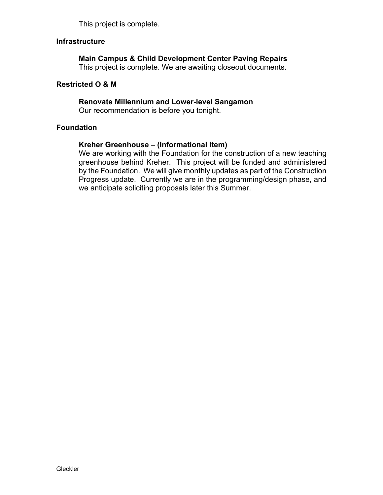This project is complete.

# **Infrastructure**

# **Main Campus & Child Development Center Paving Repairs**

This project is complete. We are awaiting closeout documents.

### **Restricted O & M**

# **Renovate Millennium and Lower-level Sangamon**

Our recommendation is before you tonight.

# **Foundation**

# **Kreher Greenhouse – (Informational Item)**

We are working with the Foundation for the construction of a new teaching greenhouse behind Kreher. This project will be funded and administered by the Foundation. We will give monthly updates as part of the Construction Progress update. Currently we are in the programming/design phase, and we anticipate soliciting proposals later this Summer.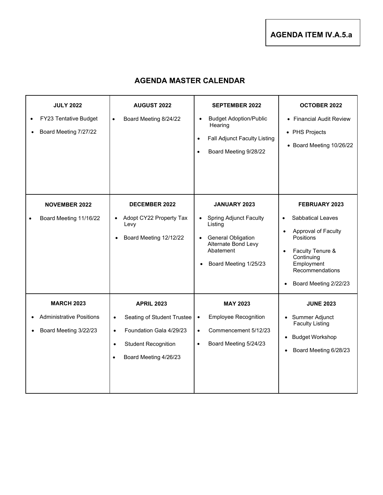**AGENDA ITEM IV.A.5.a**

# **AGENDA MASTER CALENDAR**

| <b>JULY 2022</b><br>FY23 Tentative Budget<br>Board Meeting 7/27/22<br>$\bullet$            | <b>AUGUST 2022</b><br>Board Meeting 8/24/22<br>$\bullet$                                                                                                                 | <b>SEPTEMBER 2022</b><br><b>Budget Adoption/Public</b><br>$\bullet$<br>Hearing<br><b>Fall Adjunct Faculty Listing</b><br>$\bullet$<br>Board Meeting 9/28/22<br>$\bullet$                         | <b>OCTOBER 2022</b><br>• Financial Audit Review<br>• PHS Projects<br>• Board Meeting 10/26/22                                                                                                                          |
|--------------------------------------------------------------------------------------------|--------------------------------------------------------------------------------------------------------------------------------------------------------------------------|--------------------------------------------------------------------------------------------------------------------------------------------------------------------------------------------------|------------------------------------------------------------------------------------------------------------------------------------------------------------------------------------------------------------------------|
| <b>NOVEMBER 2022</b><br>Board Meeting 11/16/22                                             | <b>DECEMBER 2022</b><br>Adopt CY22 Property Tax<br>$\bullet$<br>Levy<br>Board Meeting 12/12/22<br>$\bullet$                                                              | <b>JANUARY 2023</b><br><b>Spring Adjunct Faculty</b><br>$\bullet$<br>Listing<br><b>General Obligation</b><br>$\bullet$<br>Alternate Bond Levy<br>Abatement<br>Board Meeting 1/25/23<br>$\bullet$ | FEBRUARY 2023<br>Sabbatical Leaves<br>$\bullet$<br>Approval of Faculty<br>$\bullet$<br>Positions<br>Faculty Tenure &<br>$\bullet$<br>Continuing<br>Employment<br>Recommendations<br>Board Meeting 2/22/23<br>$\bullet$ |
| <b>MARCH 2023</b><br><b>Administrative Positions</b><br>Board Meeting 3/22/23<br>$\bullet$ | <b>APRIL 2023</b><br>Seating of Student Trustee<br>$\bullet$<br>Foundation Gala 4/29/23<br>$\bullet$<br><b>Student Recognition</b><br>$\bullet$<br>Board Meeting 4/26/23 | <b>MAY 2023</b><br><b>Employee Recognition</b><br>$\bullet$<br>Commencement 5/12/23<br>$\bullet$<br>Board Meeting 5/24/23<br>$\bullet$                                                           | <b>JUNE 2023</b><br>Summer Adjunct<br>$\bullet$<br><b>Faculty Listing</b><br><b>Budget Workshop</b><br>$\bullet$<br>Board Meeting 6/28/23                                                                              |